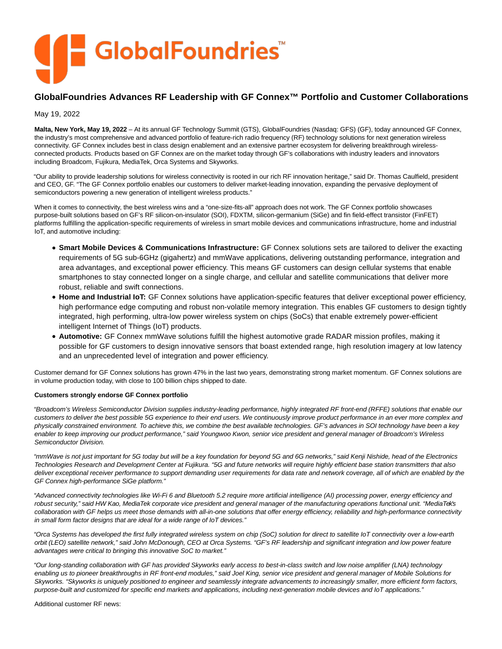

## **GlobalFoundries Advances RF Leadership with GF Connex™ Portfolio and Customer Collaborations**

May 19, 2022

**Malta, New York, May 19, 2022** – At its annual GF Technology Summit (GTS), GlobalFoundries (Nasdaq: GFS) (GF), today announced GF Connex, the industry's most comprehensive and advanced portfolio of feature-rich radio frequency (RF) technology solutions for next generation wireless connectivity. GF Connex includes best in class design enablement and an extensive partner ecosystem for delivering breakthrough wirelessconnected products. Products based on GF Connex are on the market today through GF's collaborations with industry leaders and innovators including Broadcom, Fujikura, MediaTek, Orca Systems and Skyworks.

"Our ability to provide leadership solutions for wireless connectivity is rooted in our rich RF innovation heritage," said Dr. Thomas Caulfield, president and CEO, GF. "The GF Connex portfolio enables our customers to deliver market-leading innovation, expanding the pervasive deployment of semiconductors powering a new generation of intelligent wireless products."

When it comes to connectivity, the best wireless wins and a "one-size-fits-all" approach does not work. The GF Connex portfolio showcases purpose-built solutions based on GF's RF silicon-on-insulator (SOI), FDXTM, silicon-germanium (SiGe) and fin field-effect transistor (FinFET) platforms fulfilling the application-specific requirements of wireless in smart mobile devices and communications infrastructure, home and industrial IoT, and automotive including:

- **Smart Mobile Devices & Communications Infrastructure:** GF Connex solutions sets are tailored to deliver the exacting requirements of 5G sub-6GHz (gigahertz) and mmWave applications, delivering outstanding performance, integration and area advantages, and exceptional power efficiency. This means GF customers can design cellular systems that enable smartphones to stay connected longer on a single charge, and cellular and satellite communications that deliver more robust, reliable and swift connections.
- **Home and Industrial IoT:** GF Connex solutions have application-specific features that deliver exceptional power efficiency, high performance edge computing and robust non-volatile memory integration. This enables GF customers to design tightly integrated, high performing, ultra-low power wireless system on chips (SoCs) that enable extremely power-efficient intelligent Internet of Things (IoT) products.
- **Automotive:** GF Connex mmWave solutions fulfill the highest automotive grade RADAR mission profiles, making it possible for GF customers to design innovative sensors that boast extended range, high resolution imagery at low latency and an unprecedented level of integration and power efficiency.

Customer demand for GF Connex solutions has grown 47% in the last two years, demonstrating strong market momentum. GF Connex solutions are in volume production today, with close to 100 billion chips shipped to date.

## **Customers strongly endorse GF Connex portfolio**

"Broadcom's Wireless Semiconductor Division supplies industry-leading performance, highly integrated RF front-end (RFFE) solutions that enable our customers to deliver the best possible 5G experience to their end users. We continuously improve product performance in an ever more complex and physically constrained environment. To achieve this, we combine the best available technologies. GF's advances in SOI technology have been a key enabler to keep improving our product performance," said Youngwoo Kwon, senior vice president and general manager of Broadcom's Wireless Semiconductor Division.

"mmWave is not just important for 5G today but will be a key foundation for beyond 5G and 6G networks," said Kenji Nishide, head of the Electronics Technologies Research and Development Center at Fujikura. "5G and future networks will require highly efficient base station transmitters that also deliver exceptional receiver performance to support demanding user requirements for data rate and network coverage, all of which are enabled by the GF Connex high-performance SiGe platform."

"Advanced connectivity technologies like Wi-Fi 6 and Bluetooth 5.2 require more artificial intelligence (AI) processing power, energy efficiency and robust security," said HW Kao, MediaTek corporate vice president and general manager of the manufacturing operations functional unit. "MediaTek's collaboration with GF helps us meet those demands with all-in-one solutions that offer energy efficiency, reliability and high-performance connectivity in small form factor designs that are ideal for a wide range of IoT devices."

"Orca Systems has developed the first fully integrated wireless system on chip (SoC) solution for direct to satellite IoT connectivity over a low-earth orbit (LEO) satellite network," said John McDonough, CEO at Orca Systems. "GF's RF leadership and significant integration and low power feature advantages were critical to bringing this innovative SoC to market."

"Our long-standing collaboration with GF has provided Skyworks early access to best-in-class switch and low noise amplifier (LNA) technology enabling us to pioneer breakthroughs in RF front-end modules," said Joel King, senior vice president and general manager of Mobile Solutions for Skyworks. "Skyworks is uniquely positioned to engineer and seamlessly integrate advancements to increasingly smaller, more efficient form factors, purpose-built and customized for specific end markets and applications, including next-generation mobile devices and IoT applications."

Additional customer RF news: